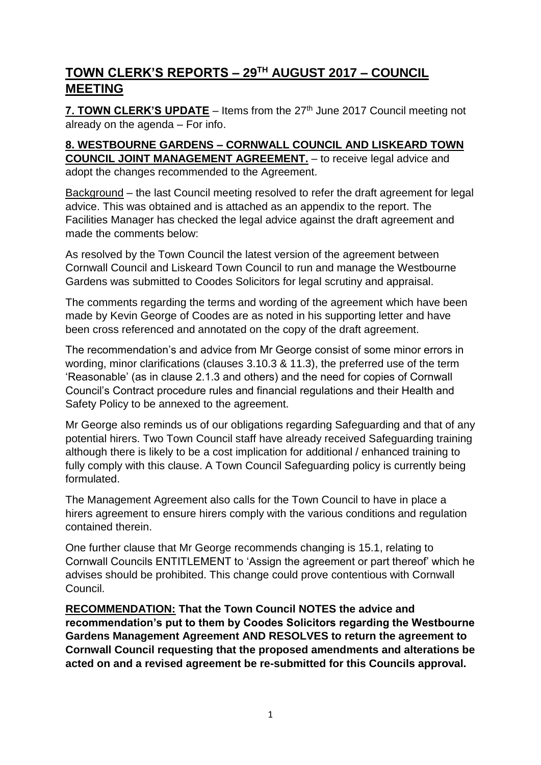# $\tt\overline{TOWN}$   $\tt\atop CLERK'S$   $\tt\overline{REPORTS} - 29^{TH}$   $\tt\overline{AUGUST}$   $2017 - \t\overline{COUNCIL}$ **MEETING**

**7. TOWN CLERK'S UPDATE** – Items from the 27<sup>th</sup> June 2017 Council meeting not already on the agenda – For info.

#### **8. WESTBOURNE GARDENS – CORNWALL COUNCIL AND LISKEARD TOWN COUNCIL JOINT MANAGEMENT AGREEMENT.** – to receive legal advice and adopt the changes recommended to the Agreement.

Background – the last Council meeting resolved to refer the draft agreement for legal advice. This was obtained and is attached as an appendix to the report. The Facilities Manager has checked the legal advice against the draft agreement and made the comments below:

As resolved by the Town Council the latest version of the agreement between Cornwall Council and Liskeard Town Council to run and manage the Westbourne Gardens was submitted to Coodes Solicitors for legal scrutiny and appraisal.

The comments regarding the terms and wording of the agreement which have been made by Kevin George of Coodes are as noted in his supporting letter and have been cross referenced and annotated on the copy of the draft agreement.

The recommendation's and advice from Mr George consist of some minor errors in wording, minor clarifications (clauses 3.10.3 & 11.3), the preferred use of the term 'Reasonable' (as in clause 2.1.3 and others) and the need for copies of Cornwall Council's Contract procedure rules and financial regulations and their Health and Safety Policy to be annexed to the agreement.

Mr George also reminds us of our obligations regarding Safeguarding and that of any potential hirers. Two Town Council staff have already received Safeguarding training although there is likely to be a cost implication for additional / enhanced training to fully comply with this clause. A Town Council Safeguarding policy is currently being formulated.

The Management Agreement also calls for the Town Council to have in place a hirers agreement to ensure hirers comply with the various conditions and regulation contained therein.

One further clause that Mr George recommends changing is 15.1, relating to Cornwall Councils ENTITLEMENT to 'Assign the agreement or part thereof' which he advises should be prohibited. This change could prove contentious with Cornwall Council.

**RECOMMENDATION: That the Town Council NOTES the advice and recommendation's put to them by Coodes Solicitors regarding the Westbourne Gardens Management Agreement AND RESOLVES to return the agreement to Cornwall Council requesting that the proposed amendments and alterations be acted on and a revised agreement be re-submitted for this Councils approval.**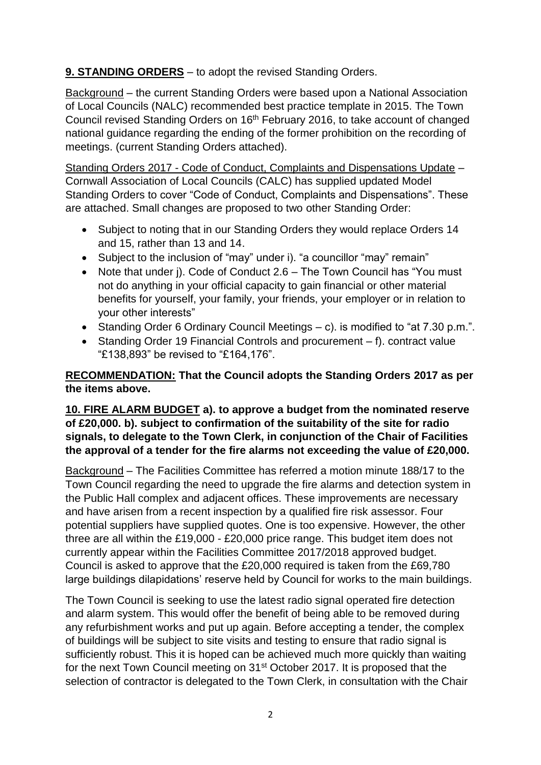# **9. STANDING ORDERS** – to adopt the revised Standing Orders.

Background – the current Standing Orders were based upon a National Association of Local Councils (NALC) recommended best practice template in 2015. The Town Council revised Standing Orders on 16<sup>th</sup> February 2016, to take account of changed national guidance regarding the ending of the former prohibition on the recording of meetings. (current Standing Orders attached).

Standing Orders 2017 - Code of Conduct, Complaints and Dispensations Update – Cornwall Association of Local Councils (CALC) has supplied updated Model Standing Orders to cover "Code of Conduct, Complaints and Dispensations". These are attached. Small changes are proposed to two other Standing Order:

- Subject to noting that in our Standing Orders they would replace Orders 14 and 15, rather than 13 and 14.
- Subject to the inclusion of "may" under i). "a councillor "may" remain"
- Note that under j). Code of Conduct 2.6 The Town Council has "You must not do anything in your official capacity to gain financial or other material benefits for yourself, your family, your friends, your employer or in relation to your other interests"
- Standing Order 6 Ordinary Council Meetings c). is modified to "at 7.30 p.m.".
- Standing Order 19 Financial Controls and procurement f). contract value "£138,893" be revised to "£164,176".

#### **RECOMMENDATION: That the Council adopts the Standing Orders 2017 as per the items above.**

#### **10. FIRE ALARM BUDGET a). to approve a budget from the nominated reserve of £20,000. b). subject to confirmation of the suitability of the site for radio signals, to delegate to the Town Clerk, in conjunction of the Chair of Facilities the approval of a tender for the fire alarms not exceeding the value of £20,000.**

Background – The Facilities Committee has referred a motion minute 188/17 to the Town Council regarding the need to upgrade the fire alarms and detection system in the Public Hall complex and adjacent offices. These improvements are necessary and have arisen from a recent inspection by a qualified fire risk assessor. Four potential suppliers have supplied quotes. One is too expensive. However, the other three are all within the £19,000 - £20,000 price range. This budget item does not currently appear within the Facilities Committee 2017/2018 approved budget. Council is asked to approve that the £20,000 required is taken from the £69,780 large buildings dilapidations' reserve held by Council for works to the main buildings.

The Town Council is seeking to use the latest radio signal operated fire detection and alarm system. This would offer the benefit of being able to be removed during any refurbishment works and put up again. Before accepting a tender, the complex of buildings will be subject to site visits and testing to ensure that radio signal is sufficiently robust. This it is hoped can be achieved much more quickly than waiting for the next Town Council meeting on 31<sup>st</sup> October 2017. It is proposed that the selection of contractor is delegated to the Town Clerk, in consultation with the Chair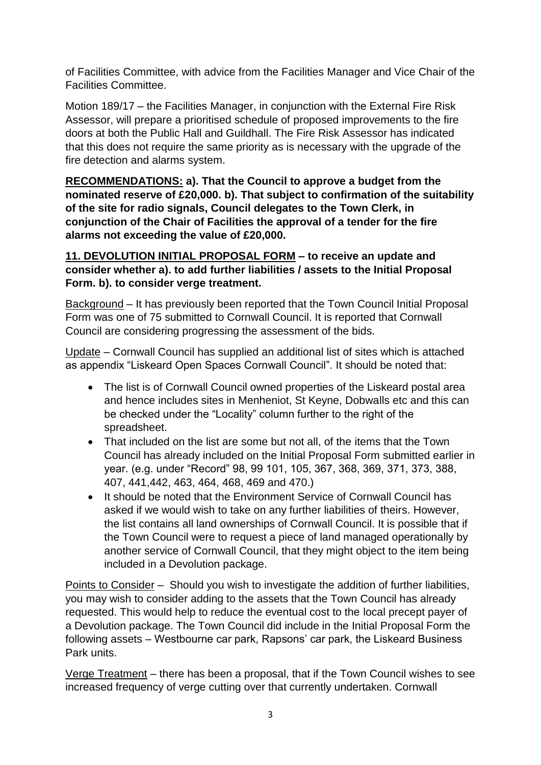of Facilities Committee, with advice from the Facilities Manager and Vice Chair of the Facilities Committee.

Motion 189/17 – the Facilities Manager, in conjunction with the External Fire Risk Assessor, will prepare a prioritised schedule of proposed improvements to the fire doors at both the Public Hall and Guildhall. The Fire Risk Assessor has indicated that this does not require the same priority as is necessary with the upgrade of the fire detection and alarms system.

**RECOMMENDATIONS: a). That the Council to approve a budget from the nominated reserve of £20,000. b). That subject to confirmation of the suitability of the site for radio signals, Council delegates to the Town Clerk, in conjunction of the Chair of Facilities the approval of a tender for the fire alarms not exceeding the value of £20,000.** 

## **11. DEVOLUTION INITIAL PROPOSAL FORM – to receive an update and consider whether a). to add further liabilities / assets to the Initial Proposal Form. b). to consider verge treatment.**

Background – It has previously been reported that the Town Council Initial Proposal Form was one of 75 submitted to Cornwall Council. It is reported that Cornwall Council are considering progressing the assessment of the bids.

Update – Cornwall Council has supplied an additional list of sites which is attached as appendix "Liskeard Open Spaces Cornwall Council". It should be noted that:

- The list is of Cornwall Council owned properties of the Liskeard postal area and hence includes sites in Menheniot, St Keyne, Dobwalls etc and this can be checked under the "Locality" column further to the right of the spreadsheet.
- That included on the list are some but not all, of the items that the Town Council has already included on the Initial Proposal Form submitted earlier in year. (e.g. under "Record" 98, 99 101, 105, 367, 368, 369, 371, 373, 388, 407, 441,442, 463, 464, 468, 469 and 470.)
- It should be noted that the Environment Service of Cornwall Council has asked if we would wish to take on any further liabilities of theirs. However, the list contains all land ownerships of Cornwall Council. It is possible that if the Town Council were to request a piece of land managed operationally by another service of Cornwall Council, that they might object to the item being included in a Devolution package.

Points to Consider – Should you wish to investigate the addition of further liabilities, you may wish to consider adding to the assets that the Town Council has already requested. This would help to reduce the eventual cost to the local precept payer of a Devolution package. The Town Council did include in the Initial Proposal Form the following assets – Westbourne car park, Rapsons' car park, the Liskeard Business Park units.

Verge Treatment – there has been a proposal, that if the Town Council wishes to see increased frequency of verge cutting over that currently undertaken. Cornwall